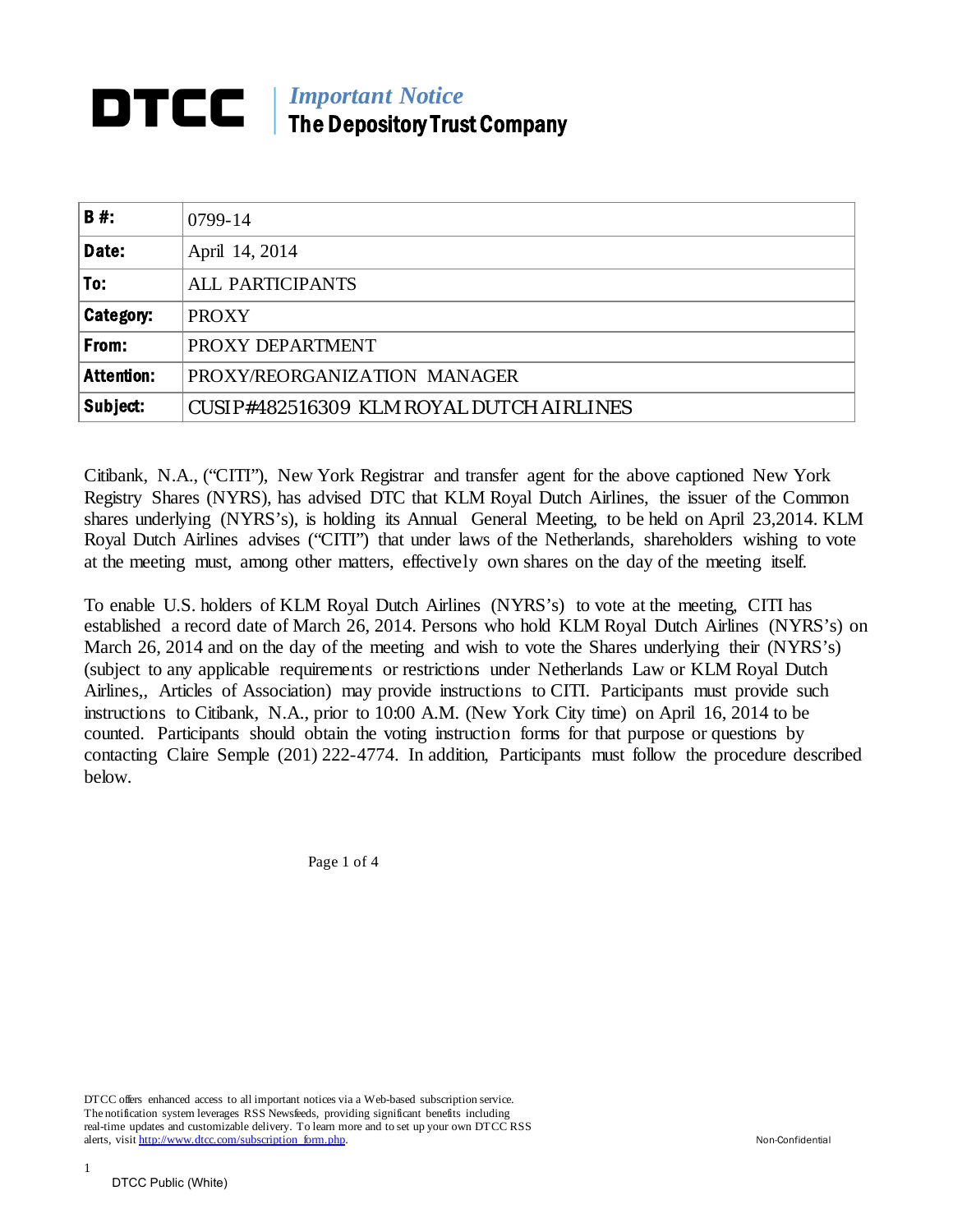## **IMPORTAND THE IMPORTAND TELEVISION IN THE PERSON TELEVISION IN THE IMPORTAND TELEVISION IN THE IMPORTAND TELEVISION IN THE IMPORTANT TELEVISION IN THE IMPORTANT TELEVISION IN THE IMPORTANT TELEVISION IN THE IMPORTANT TELE** The Depository Trust Company

| B#:               | 0799-14                                  |
|-------------------|------------------------------------------|
| Date:             | April 14, 2014                           |
| To:               | <b>ALL PARTICIPANTS</b>                  |
| Category:         | <b>PROXY</b>                             |
| From:             | PROXY DEPARTMENT                         |
| <b>Attention:</b> | PROXY/REORGANIZATION MANAGER             |
| Subject:          | CUSIP#482516309 KLM ROYAL DUTCH AIRLINES |

Citibank, N.A., ("CITI"), New York Registrar and transfer agent for the above captioned New York Registry Shares (NYRS), has advised DTC that KLM Royal Dutch Airlines, the issuer of the Common shares underlying (NYRS's), is holding its Annual General Meeting, to be held on April 23,2014. KLM Royal Dutch Airlines advises ("CITI") that under laws of the Netherlands, shareholders wishing to vote at the meeting must, among other matters, effectively own shares on the day of the meeting itself.

To enable U.S. holders of KLM Royal Dutch Airlines (NYRS's) to vote at the meeting, CITI has established a record date of March 26, 2014. Persons who hold KLM Royal Dutch Airlines (NYRS's) on March 26, 2014 and on the day of the meeting and wish to vote the Shares underlying their (NYRS's) (subject to any applicable requirements or restrictions under Netherlands Law or KLM Royal Dutch Airlines,, Articles of Association) may provide instructions to CITI. Participants must provide such instructions to Citibank, N.A., prior to 10:00 A.M. (New York City time) on April 16, 2014 to be counted. Participants should obtain the voting instruction forms for that purpose or questions by contacting Claire Semple (201) 222-4774. In addition, Participants must follow the procedure described below.

Page 1 of 4

DTCC offers enhanced access to all important notices via a Web-based subscription service. The notification system leverages RSS Newsfeeds, providing significant benefits including real-time updates and customizable delivery. To learn more and to set up your own DTCC RSS alerts, visi[t http://www.dtcc.com/subscription\\_form.php.](http://www.dtcc.com/subscription_form.php) Non-Confidential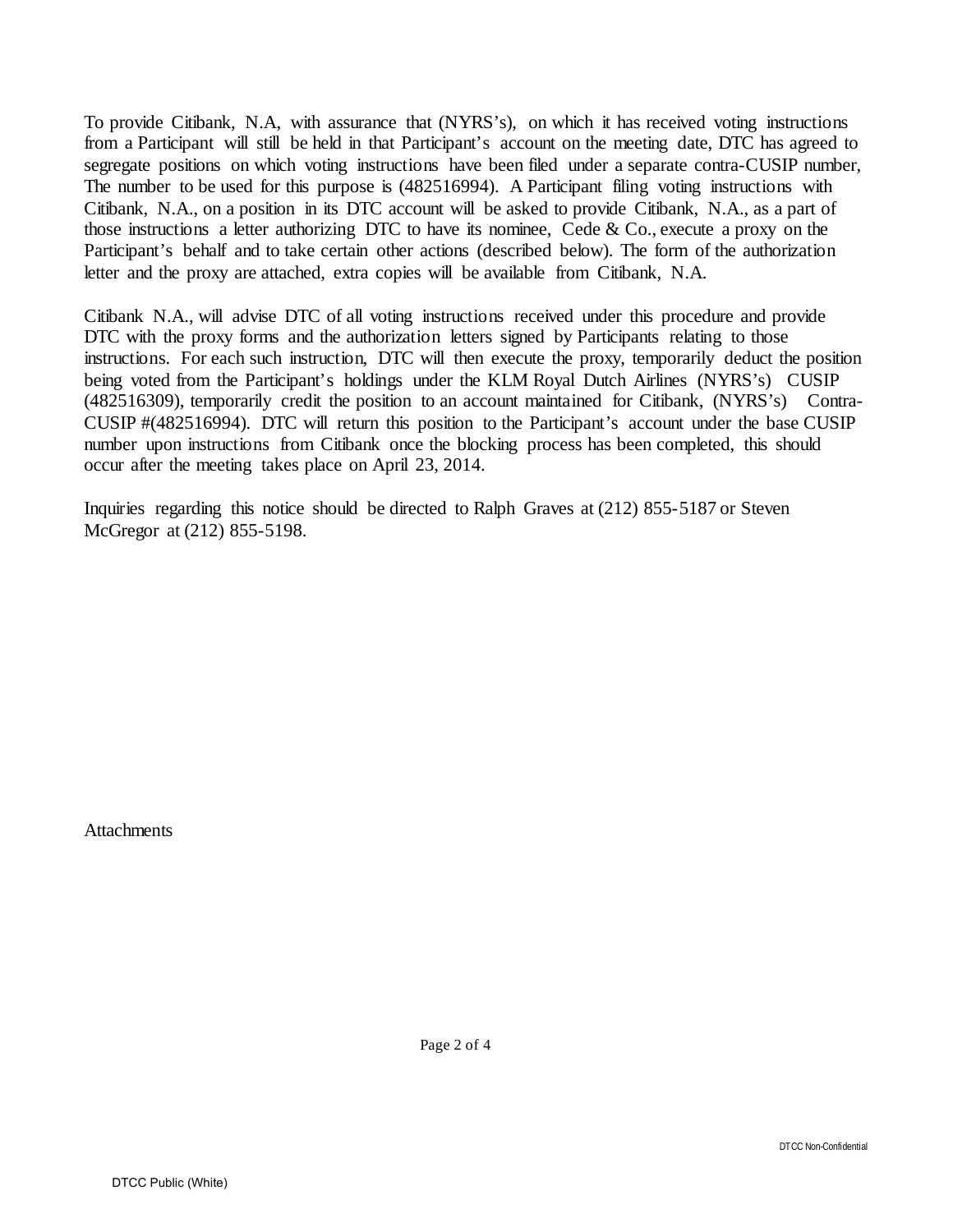To provide Citibank, N.A, with assurance that (NYRS's), on which it has received voting instructions from a Participant will still be held in that Participant's account on the meeting date, DTC has agreed to segregate positions on which voting instructions have been filed under a separate contra-CUSIP number, The number to be used for this purpose is (482516994). A Participant filing voting instructions with Citibank, N.A., on a position in its DTC account will be asked to provide Citibank, N.A., as a part of those instructions a letter authorizing DTC to have its nominee, Cede & Co., execute a proxy on the Participant's behalf and to take certain other actions (described below). The form of the authorization letter and the proxy are attached, extra copies will be available from Citibank, N.A.

Citibank N.A., will advise DTC of all voting instructions received under this procedure and provide DTC with the proxy forms and the authorization letters signed by Participants relating to those instructions. For each such instruction, DTC will then execute the proxy, temporarily deduct the position being voted from the Participant's holdings under the KLM Royal Dutch Airlines (NYRS's) CUSIP (482516309), temporarily credit the position to an account maintained for Citibank, (NYRS's) Contra-CUSIP #(482516994). DTC will return this position to the Participant's account under the base CUSIP number upon instructions from Citibank once the blocking process has been completed, this should occur after the meeting takes place on April 23, 2014.

Inquiries regarding this notice should be directed to Ralph Graves at (212) 855-5187 or Steven McGregor at (212) 855-5198.

**Attachments**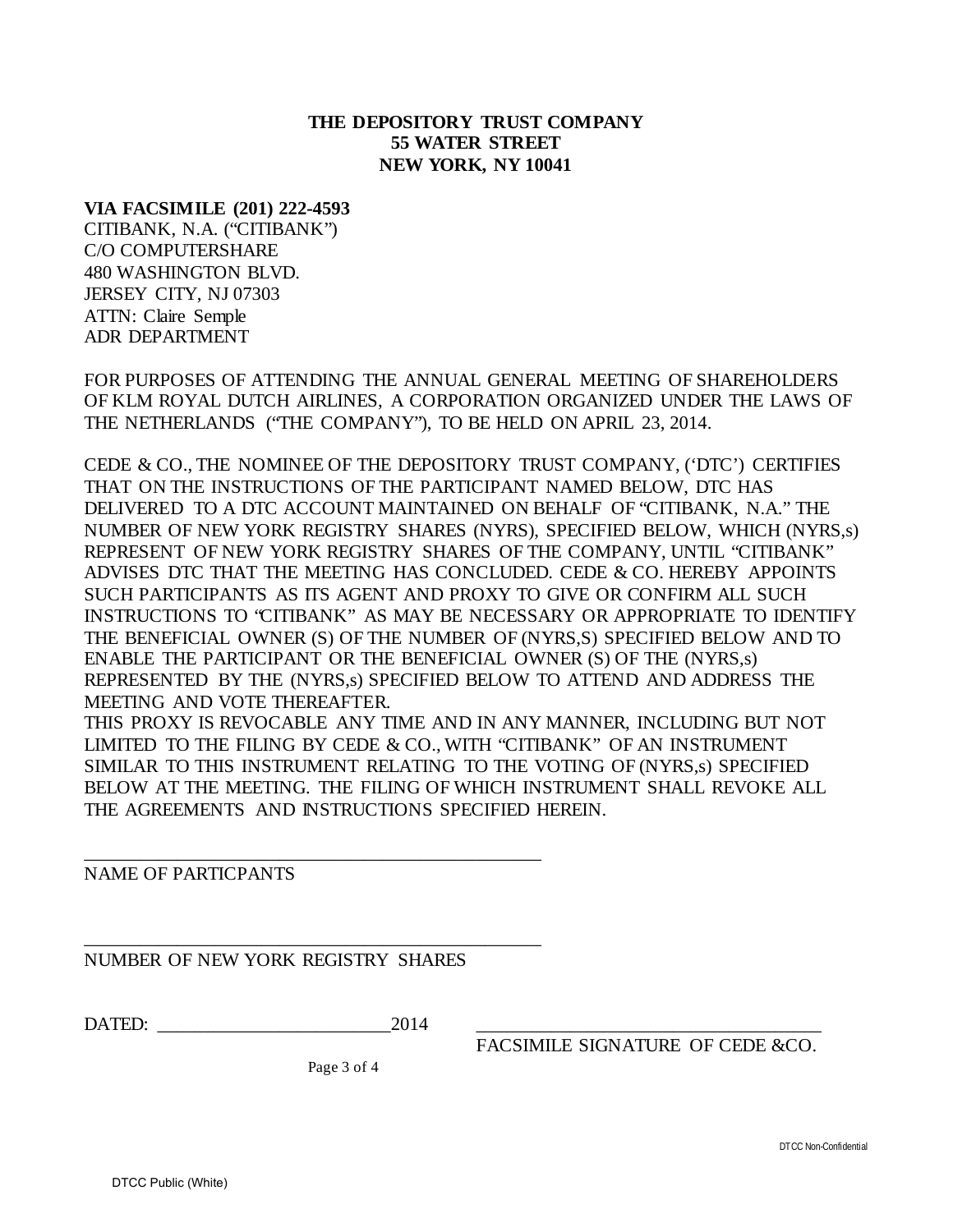## **THE DEPOSITORY TRUST COMPANY 55 WATER STREET NEW YORK, NY 10041**

## **VIA FACSIMILE (201) 222-4593**

CITIBANK, N.A. ("CITIBANK") C/O COMPUTERSHARE 480 WASHINGTON BLVD. JERSEY CITY, NJ 07303 ATTN: Claire Semple ADR DEPARTMENT

FOR PURPOSES OF ATTENDING THE ANNUAL GENERAL MEETING OF SHAREHOLDERS OF KLM ROYAL DUTCH AIRLINES, A CORPORATION ORGANIZED UNDER THE LAWS OF THE NETHERLANDS ("THE COMPANY"), TO BE HELD ON APRIL 23, 2014.

CEDE & CO., THE NOMINEE OF THE DEPOSITORY TRUST COMPANY, ('DTC') CERTIFIES THAT ON THE INSTRUCTIONS OF THE PARTICIPANT NAMED BELOW, DTC HAS DELIVERED TO A DTC ACCOUNT MAINTAINED ON BEHALF OF "CITIBANK, N.A." THE NUMBER OF NEW YORK REGISTRY SHARES (NYRS), SPECIFIED BELOW, WHICH (NYRS,s) REPRESENT OF NEW YORK REGISTRY SHARES OF THE COMPANY, UNTIL "CITIBANK" ADVISES DTC THAT THE MEETING HAS CONCLUDED. CEDE & CO. HEREBY APPOINTS SUCH PARTICIPANTS AS ITS AGENT AND PROXY TO GIVE OR CONFIRM ALL SUCH INSTRUCTIONS TO "CITIBANK" AS MAY BE NECESSARY OR APPROPRIATE TO IDENTIFY THE BENEFICIAL OWNER (S) OF THE NUMBER OF (NYRS,S) SPECIFIED BELOW AND TO ENABLE THE PARTICIPANT OR THE BENEFICIAL OWNER (S) OF THE (NYRS,s) REPRESENTED BY THE (NYRS,s) SPECIFIED BELOW TO ATTEND AND ADDRESS THE MEETING AND VOTE THEREAFTER.

THIS PROXY IS REVOCABLE ANY TIME AND IN ANY MANNER, INCLUDING BUT NOT LIMITED TO THE FILING BY CEDE & CO., WITH "CITIBANK" OF AN INSTRUMENT SIMILAR TO THIS INSTRUMENT RELATING TO THE VOTING OF (NYRS,s) SPECIFIED BELOW AT THE MEETING. THE FILING OF WHICH INSTRUMENT SHALL REVOKE ALL THE AGREEMENTS AND INSTRUCTIONS SPECIFIED HEREIN.

NAME OF PARTICPANTS

\_\_\_\_\_\_\_\_\_\_\_\_\_\_\_\_\_\_\_\_\_\_\_\_\_\_\_\_\_\_\_\_\_\_\_\_\_\_\_\_\_\_\_\_\_\_\_\_\_ NUMBER OF NEW YORK REGISTRY SHARES

\_\_\_\_\_\_\_\_\_\_\_\_\_\_\_\_\_\_\_\_\_\_\_\_\_\_\_\_\_\_\_\_\_\_\_\_\_\_\_\_\_\_\_\_\_\_\_\_\_

DATED: \_\_\_\_\_\_\_\_\_\_\_\_\_\_\_\_\_\_\_\_\_\_\_\_\_2014 \_\_\_\_\_\_\_\_\_\_\_\_\_\_\_\_\_\_\_\_\_\_\_\_\_\_\_\_\_\_\_\_\_\_\_\_\_

FACSIMILE SIGNATURE OF CEDE &CO.

Page 3 of 4